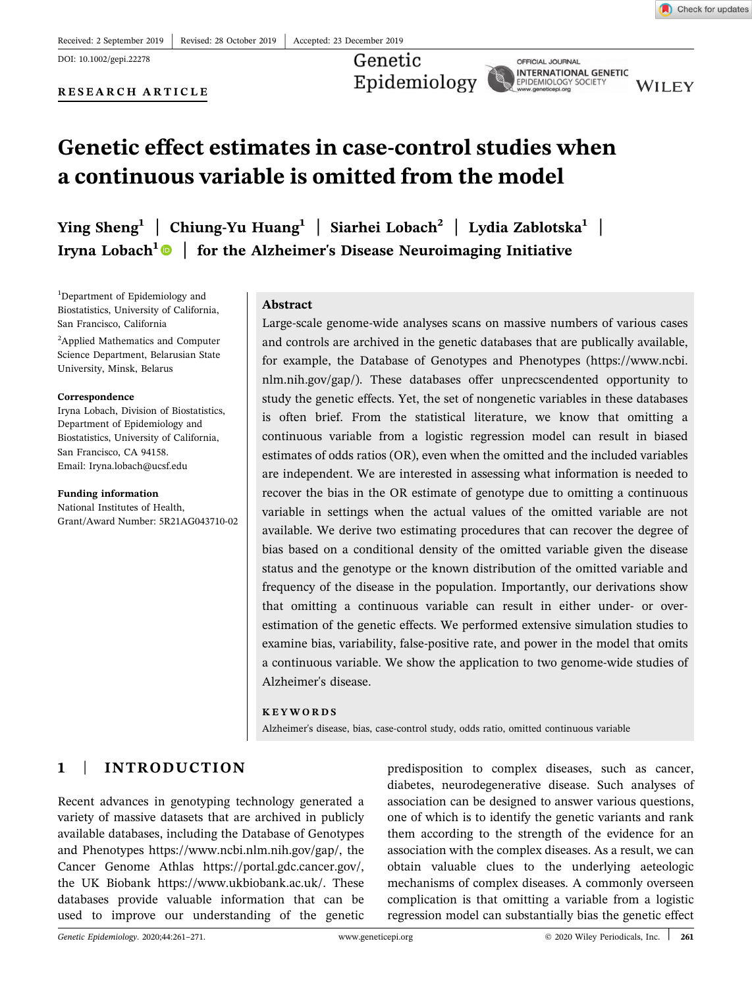DOI: 10.1002/gepi.22278

RESEARCH ARTICLE

Genetic Epidemiology

OFFICIAL JOURNAL **INTERNATIONAL GENETIC** EPIDEMIOLOGY SOCIETY

**WILEY** 

# Genetic effect estimates in case‐control studies when a continuous variable is omitted from the model

Ying Sheng<sup>1</sup> | Chiung-Yu Huang<sup>1</sup> | Siarhei Lobach<sup>2</sup> | Lydia Zablotska<sup>1</sup> | Iryna Lobach<sup>1</sup> $\bullet$  | for the Alzheimer's Disease Neuroimaging Initiative

<sup>1</sup>Department of Epidemiology and Biostatistics, University of California, San Francisco, California

<sup>2</sup>Applied Mathematics and Computer Science Department, Belarusian State University, Minsk, Belarus

#### Correspondence

Iryna Lobach, Division of Biostatistics, Department of Epidemiology and Biostatistics, University of California, San Francisco, CA 94158. Email: [Iryna.lobach@ucsf.edu](mailto:Iryna.lobach@ucsf.edu)

Funding information

National Institutes of Health, Grant/Award Number: 5R21AG043710‐02

#### Abstract

Large‐scale genome‐wide analyses scans on massive numbers of various cases and controls are archived in the genetic databases that are publically available, for example, the Database of Genotypes and Phenotypes ([https://www.ncbi.](https://www.ncbi.nlm.nih.gov/gap/) [nlm.nih.gov/gap/](https://www.ncbi.nlm.nih.gov/gap/)). These databases offer unprecscendented opportunity to study the genetic effects. Yet, the set of nongenetic variables in these databases is often brief. From the statistical literature, we know that omitting a continuous variable from a logistic regression model can result in biased estimates of odds ratios (OR), even when the omitted and the included variables are independent. We are interested in assessing what information is needed to recover the bias in the OR estimate of genotype due to omitting a continuous variable in settings when the actual values of the omitted variable are not available. We derive two estimating procedures that can recover the degree of bias based on a conditional density of the omitted variable given the disease status and the genotype or the known distribution of the omitted variable and frequency of the disease in the population. Importantly, our derivations show that omitting a continuous variable can result in either under‐ or over‐ estimation of the genetic effects. We performed extensive simulation studies to examine bias, variability, false-positive rate, and power in the model that omits a continuous variable. We show the application to two genome‐wide studies of Alzheimer's disease.

#### KEYWORDS

Alzheimer's disease, bias, case‐control study, odds ratio, omitted continuous variable

# 1 | INTRODUCTION

Recent advances in genotyping technology generated a variety of massive datasets that are archived in publicly available databases, including the Database of Genotypes and Phenotypes [https://www.ncbi.nlm.nih.gov/gap/,](https://www.ncbi.nlm.nih.gov/gap/) the Cancer Genome Athlas [https://portal.gdc.cancer.gov/,](https://portal.gdc.cancer.gov/) the UK Biobank [https://www.ukbiobank.ac.uk/.](https://www.ukbiobank.ac.uk/) These databases provide valuable information that can be used to improve our understanding of the genetic

predisposition to complex diseases, such as cancer, diabetes, neurodegenerative disease. Such analyses of association can be designed to answer various questions, one of which is to identify the genetic variants and rank them according to the strength of the evidence for an association with the complex diseases. As a result, we can obtain valuable clues to the underlying aeteologic mechanisms of complex diseases. A commonly overseen complication is that omitting a variable from a logistic regression model can substantially bias the genetic effect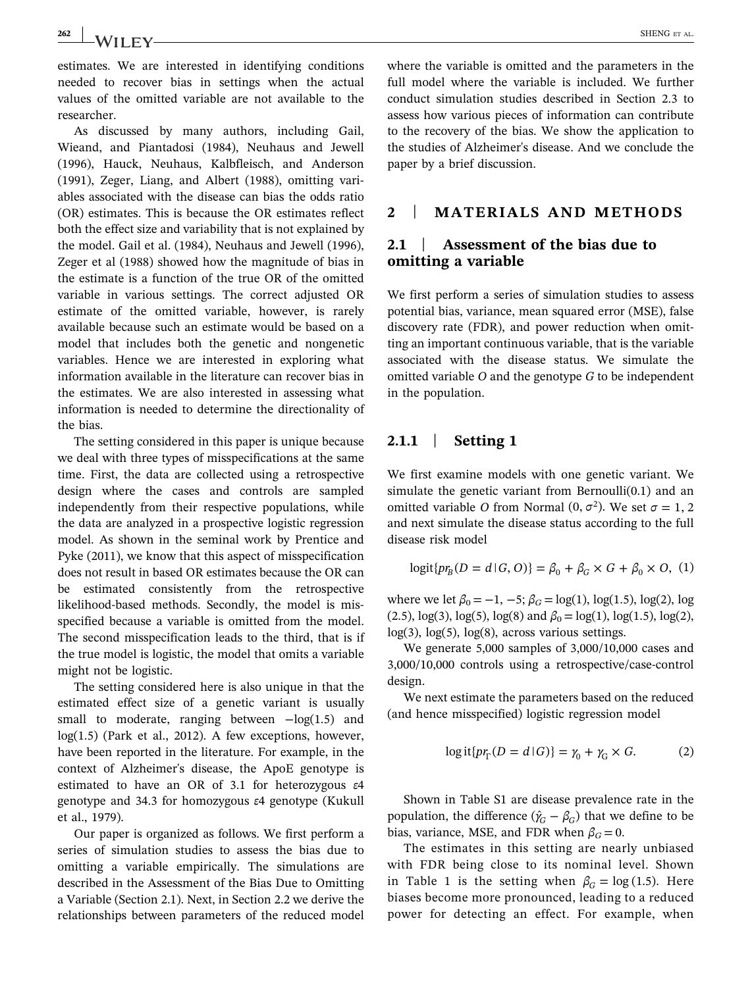estimates. We are interested in identifying conditions needed to recover bias in settings when the actual values of the omitted variable are not available to the researcher.

As discussed by many authors, including Gail, Wieand, and Piantadosi (1984), Neuhaus and Jewell (1996), Hauck, Neuhaus, Kalbfleisch, and Anderson (1991), Zeger, Liang, and Albert (1988), omitting variables associated with the disease can bias the odds ratio (OR) estimates. This is because the OR estimates reflect both the effect size and variability that is not explained by the model. Gail et al. (1984), Neuhaus and Jewell (1996), Zeger et al (1988) showed how the magnitude of bias in the estimate is a function of the true OR of the omitted variable in various settings. The correct adjusted OR estimate of the omitted variable, however, is rarely available because such an estimate would be based on a model that includes both the genetic and nongenetic variables. Hence we are interested in exploring what information available in the literature can recover bias in the estimates. We are also interested in assessing what information is needed to determine the directionality of the bias.

The setting considered in this paper is unique because we deal with three types of misspecifications at the same time. First, the data are collected using a retrospective design where the cases and controls are sampled independently from their respective populations, while the data are analyzed in a prospective logistic regression model. As shown in the seminal work by Prentice and Pyke (2011), we know that this aspect of misspecification does not result in based OR estimates because the OR can be estimated consistently from the retrospective likelihood‐based methods. Secondly, the model is misspecified because a variable is omitted from the model. The second misspecification leads to the third, that is if the true model is logistic, the model that omits a variable might not be logistic.

The setting considered here is also unique in that the estimated effect size of a genetic variant is usually small to moderate, ranging between −log(1.5) and  $log(1.5)$  (Park et al., 2012). A few exceptions, however, have been reported in the literature. For example, in the context of Alzheimer's disease, the ApoE genotype is estimated to have an OR of 3.1 for heterozygous ε4 genotype and 34.3 for homozygous ε4 genotype (Kukull et al., 1979).

Our paper is organized as follows. We first perform a series of simulation studies to assess the bias due to omitting a variable empirically. The simulations are described in the Assessment of the Bias Due to Omitting a Variable (Section 2.1). Next, in Section 2.2 we derive the relationships between parameters of the reduced model

where the variable is omitted and the parameters in the full model where the variable is included. We further conduct simulation studies described in Section 2.3 to assess how various pieces of information can contribute to the recovery of the bias. We show the application to the studies of Alzheimer's disease. And we conclude the paper by a brief discussion.

## 2 | MATERIALS AND METHODS

# 2.1 | Assessment of the bias due to omitting a variable

We first perform a series of simulation studies to assess potential bias, variance, mean squared error (MSE), false discovery rate (FDR), and power reduction when omitting an important continuous variable, that is the variable associated with the disease status. We simulate the omitted variable O and the genotype G to be independent in the population.

# 2.1.1 | Setting 1

We first examine models with one genetic variant. We simulate the genetic variant from Bernoulli(0.1) and an omitted variable O from Normal  $(0, \sigma^2)$ . We set  $\sigma = 1, 2$ and next simulate the disease status according to the full disease risk model

$$
logit{p rB}(D = d | G, O) = \beta_0 + \beta_G \times G + \beta_0 \times O, (1)
$$

where we let  $\beta_0 = -1, -5; \beta_G = \log(1), \log(1.5), \log(2), \log$ (2.5),  $log(3)$ ,  $log(5)$ ,  $log(8)$  and  $\beta_0 = log(1)$ ,  $log(1.5)$ ,  $log(2)$ , log(3), log(5), log(8), across various settings.

We generate 5,000 samples of 3,000/10,000 cases and 3,000/10,000 controls using a retrospective/case‐control design.

We next estimate the parameters based on the reduced (and hence misspecified) logistic regression model

$$
\log \text{it}\{pr_{\Gamma}(D = d \mid G)\} = \gamma_0 + \gamma_G \times G. \tag{2}
$$

Shown in Table S1 are disease prevalence rate in the population, the difference  $(\hat{\gamma}_G - \beta_G)$  that we define to be bias, variance, MSE, and FDR when  $\beta_G = 0$ .

The estimates in this setting are nearly unbiased with FDR being close to its nominal level. Shown in Table 1 is the setting when  $\beta_G = \log(1.5)$ . Here biases become more pronounced, leading to a reduced power for detecting an effect. For example, when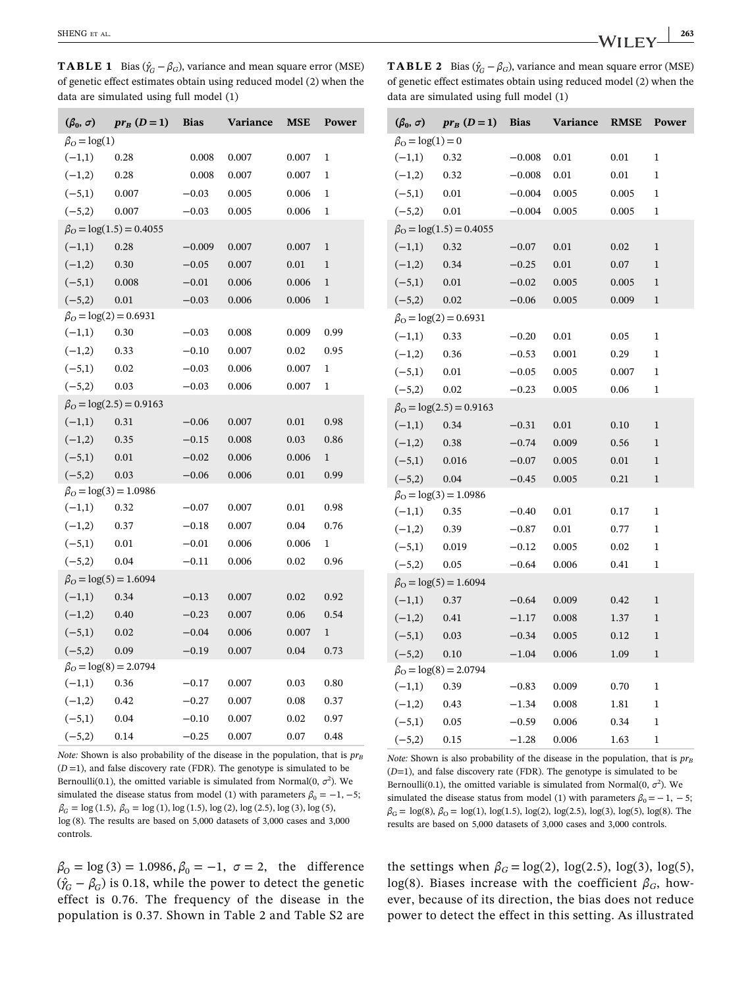**TABLE 1** Bias ( $\hat{\gamma}_G - \beta_G$ ), variance and mean square error (MSE) of genetic effect estimates obtain using reduced model (2) when the data are simulated using full model (1)

| <b>TABLE 2</b> Bias $(\hat{\gamma}_C - \beta_G)$ , variance and mean square error (MSE) |  |
|-----------------------------------------------------------------------------------------|--|
| of genetic effect estimates obtain using reduced model (2) when the                     |  |
| $data$ are simulated using full model $(1)$                                             |  |

| $(\beta_0, \sigma)$ | $pr_B(D=1)$                    | <b>Bias</b> | Variance | MSE   | Power        |
|---------------------|--------------------------------|-------------|----------|-------|--------------|
| $\beta_O = \log(1)$ |                                |             |          |       |              |
| $(-1,1)$            | 0.28                           | 0.008       | 0.007    | 0.007 | 1            |
| $(-1,2)$            | 0.28                           | 0.008       | 0.007    | 0.007 | 1            |
| $(-5,1)$            | 0.007                          | $-0.03$     | 0.005    | 0.006 | 1            |
| $(-5,2)$            | 0.007                          | $-0.03$     | 0.005    | 0.006 | 1            |
|                     | $\beta_O = \log(1.5) = 0.4055$ |             |          |       |              |
| $(-1,1)$            | 0.28                           | $-0.009$    | 0.007    | 0.007 | $\mathbf{1}$ |
| $(-1,2)$            | 0.30                           | $-0.05$     | 0.007    | 0.01  | $\mathbf{1}$ |
| $(-5,1)$            | 0.008                          | $-0.01$     | 0.006    | 0.006 | 1            |
| $(-5,2)$            | 0.01                           | $-0.03$     | 0.006    | 0.006 | 1            |
|                     | $\beta_O = \log(2) = 0.6931$   |             |          |       |              |
| $(-1,1)$            | 0.30                           | $-0.03$     | 0.008    | 0.009 | 0.99         |
| $(-1,2)$            | 0.33                           | $-0.10$     | 0.007    | 0.02  | 0.95         |
| $(-5,1)$            | 0.02                           | $-0.03$     | 0.006    | 0.007 | 1            |
| $(-5,2)$            | 0.03                           | $-0.03$     | 0.006    | 0.007 | 1            |
|                     | $\beta_O = \log(2.5) = 0.9163$ |             |          |       |              |
| $(-1,1)$            | 0.31                           | $-0.06$     | 0.007    | 0.01  | 0.98         |
| $(-1,2)$            | 0.35                           | $-0.15$     | 0.008    | 0.03  | 0.86         |
| $(-5,1)$            | 0.01                           | $-0.02$     | 0.006    | 0.006 | 1            |
| $(-5,2)$            | 0.03                           | $-0.06$     | 0.006    | 0.01  | 0.99         |
|                     | $\beta_O = \log(3) = 1.0986$   |             |          |       |              |
| $(-1,1)$            | 0.32                           | $-0.07$     | 0.007    | 0.01  | 0.98         |
| $(-1,2)$            | 0.37                           | $-0.18$     | 0.007    | 0.04  | 0.76         |
| $(-5,1)$            | 0.01                           | $-0.01$     | 0.006    | 0.006 | 1            |
| $(-5,2)$            | 0.04                           | $-0.11$     | 0.006    | 0.02  | 0.96         |
|                     | $\beta_O = \log(5) = 1.6094$   |             |          |       |              |
| $(-1,1)$            | 0.34                           | $-0.13$     | 0.007    | 0.02  | 0.92         |
| $(-1,2)$            | 0.40                           | $-0.23$     | 0.007    | 0.06  | 0.54         |
| $(-5,1)$            | 0.02                           | $-0.04$     | 0.006    | 0.007 | $\mathbf{1}$ |
| $(-5,2)$            | 0.09                           | $-0.19$     | 0.007    | 0.04  | 0.73         |
|                     | $\beta_O = \log(8) = 2.0794$   |             |          |       |              |
| $(-1,1)$            | 0.36                           | $-0.17$     | 0.007    | 0.03  | 0.80         |
| $(-1,2)$            | 0.42                           | $-0.27$     | 0.007    | 0.08  | 0.37         |
| $(-5,1)$            | 0.04                           | $-0.10$     | 0.007    | 0.02  | 0.97         |
| $(-5,2)$            | 0.14                           | $-0.25$     | 0.007    | 0.07  | 0.48         |
|                     |                                |             |          |       |              |

Note: Shown is also probability of the disease in the population, that is  $pr_B$  $(D=1)$ , and false discovery rate (FDR). The genotype is simulated to be Bernoulli(0.1), the omitted variable is simulated from Normal(0,  $\sigma^2$ ). We simulated the disease status from model (1) with parameters  $\beta_0 = -1, -5;$  $\beta_G = \log(1.5), \ \beta_0 = \log(1), \log(1.5), \log(2), \log(2.5), \log(3), \log(5),$ log (8). The results are based on 5,000 datasets of 3,000 cases and 3,000 controls.

 $\beta_0 = \log(3) = 1.0986$ ,  $\beta_0 = -1$ ,  $\sigma = 2$ , the difference  $(\hat{\gamma}_G - \beta_G)$  is 0.18, while the power to detect the genetic effect is 0.76. The frequency of the disease in the population is 0.37. Shown in Table 2 and Table S2 are

| $(\beta_0, \sigma)$ | $pr_B(D=1)$                          | <b>Bias</b> | Variance | <b>RMSE</b> | Power        |  |  |  |
|---------------------|--------------------------------------|-------------|----------|-------------|--------------|--|--|--|
|                     | $\beta_{\rm O} = \log(1) = 0$        |             |          |             |              |  |  |  |
| $(-1,1)$            | 0.32                                 | $-0.008$    | 0.01     | 0.01        | $\mathbf{1}$ |  |  |  |
| $(-1,2)$            | 0.32                                 | $-0.008$    | 0.01     | 0.01        | $\mathbf{1}$ |  |  |  |
| $(-5,1)$            | 0.01                                 | $-0.004$    | 0.005    | 0.005       | 1            |  |  |  |
| $(-5,2)$            | 0.01                                 | $-0.004$    | 0.005    | 0.005       | 1            |  |  |  |
|                     | $\beta_{\rm O} = \log(1.5) = 0.4055$ |             |          |             |              |  |  |  |
| $(-1,1)$            | 0.32                                 | $-0.07$     | 0.01     | 0.02        | $\mathbf{1}$ |  |  |  |
| $(-1,2)$            | 0.34                                 | $-0.25$     | 0.01     | 0.07        | $\mathbf{1}$ |  |  |  |
| $(-5,1)$            | 0.01                                 | $-0.02$     | 0.005    | 0.005       | 1            |  |  |  |
| $(-5,2)$            | 0.02                                 | $-0.06$     | 0.005    | 0.009       | $\mathbf{1}$ |  |  |  |
|                     | $\beta_{\Omega} = \log(2) = 0.6931$  |             |          |             |              |  |  |  |
| $(-1,1)$            | 0.33                                 | $-0.20$     | 0.01     | 0.05        | 1            |  |  |  |
| $(-1,2)$            | 0.36                                 | $-0.53$     | 0.001    | 0.29        | 1            |  |  |  |
| $(-5,1)$            | 0.01                                 | $-0.05$     | 0.005    | 0.007       | $\mathbf{1}$ |  |  |  |
| $(-5,2)$            | 0.02                                 | $-0.23$     | 0.005    | 0.06        | 1            |  |  |  |
|                     | $\beta_{\rm O} = \log(2.5) = 0.9163$ |             |          |             |              |  |  |  |
| $(-1,1)$            | 0.34                                 | $-0.31$     | 0.01     | 0.10        | 1            |  |  |  |
| $(-1,2)$            | 0.38                                 | $-0.74$     | 0.009    | 0.56        | $\mathbf{1}$ |  |  |  |
| $(-5,1)$            | 0.016                                | $-0.07$     | 0.005    | 0.01        | $\mathbf{1}$ |  |  |  |
| $(-5,2)$            | 0.04                                 | $-0.45$     | 0.005    | 0.21        | $\mathbf{1}$ |  |  |  |
|                     | $\beta_{\rm O} = \log(3) = 1.0986$   |             |          |             |              |  |  |  |
| $(-1,1)$            | 0.35                                 | $-0.40$     | 0.01     | 0.17        | $\mathbf{1}$ |  |  |  |
| $(-1,2)$            | 0.39                                 | $-0.87$     | 0.01     | 0.77        | 1            |  |  |  |
| $(-5,1)$            | 0.019                                | $-0.12$     | 0.005    | 0.02        | $\mathbf{1}$ |  |  |  |
| $(-5,2)$            | 0.05                                 | $-0.64$     | 0.006    | 0.41        | $\mathbf{1}$ |  |  |  |
|                     | $\beta_{\rm O} = \log(5) = 1.6094$   |             |          |             |              |  |  |  |
| $(-1,1)$            | 0.37                                 | $-0.64$     | 0.009    | 0.42        | $\mathbf{1}$ |  |  |  |
| $(-1,2)$            | 0.41                                 | $-1.17$     | 0.008    | 1.37        | 1            |  |  |  |
| $(-5,1)$            | 0.03                                 | $-0.34$     | 0.005    | 0.12        | 1            |  |  |  |
| $(-5,2)$            | 0.10                                 | $-1.04$     | 0.006    | 1.09        | $\mathbf{1}$ |  |  |  |
|                     | $\beta_{\rm O} = \log(8) = 2.0794$   |             |          |             |              |  |  |  |
| $(-1,1)$            | 0.39                                 | $-0.83$     | 0.009    | 0.70        | 1            |  |  |  |
| $(-1,2)$            | 0.43                                 | $-1.34$     | 0.008    | 1.81        | 1            |  |  |  |
| $(-5,1)$            | 0.05                                 | $-0.59$     | 0.006    | 0.34        | 1            |  |  |  |
| $(-5,2)$            | 0.15                                 | $-1.28$     | 0.006    | 1.63        | $\mathbf{1}$ |  |  |  |

Note: Shown is also probability of the disease in the population, that is  $pr_B$  $(D=1)$ , and false discovery rate (FDR). The genotype is simulated to be Bernoulli(0.1), the omitted variable is simulated from Normal(0,  $\sigma^2$ ). We simulated the disease status from model (1) with parameters  $\beta_0 = -1, -5;$  $\beta_G = \log(8), \beta_O = \log(1), \log(1.5), \log(2), \log(2.5), \log(3), \log(5), \log(8)$ . The results are based on 5,000 datasets of 3,000 cases and 3,000 controls.

the settings when  $\beta_G = \log(2)$ ,  $\log(2.5)$ ,  $\log(3)$ ,  $\log(5)$ , log(8). Biases increase with the coefficient  $\beta_G$ , however, because of its direction, the bias does not reduce power to detect the effect in this setting. As illustrated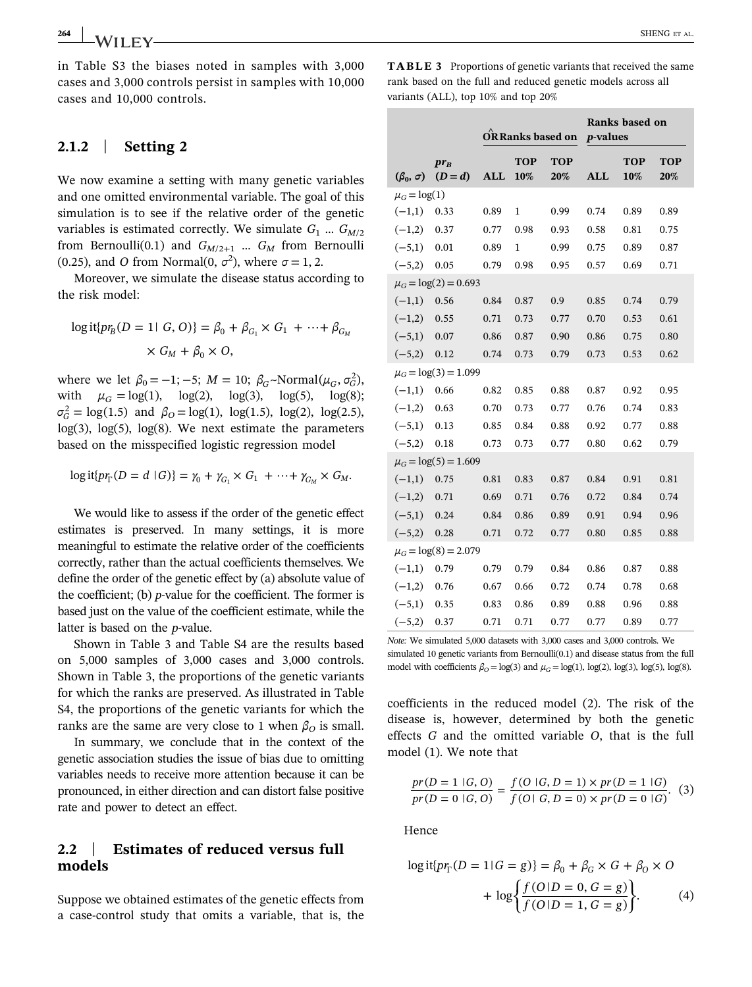in Table S3 the biases noted in samples with 3,000 cases and 3,000 controls persist in samples with 10,000 cases and 10,000 controls.

## 2.1.2 | Setting 2

We now examine a setting with many genetic variables and one omitted environmental variable. The goal of this simulation is to see if the relative order of the genetic variables is estimated correctly. We simulate  $G_1$  ...  $G_{M/2}$ from Bernoulli(0.1) and  $G_{M/2+1}$  ...  $G_M$  from Bernoulli (0.25), and *O* from Normal(0,  $\sigma^2$ ), where  $\sigma = 1, 2$ .

Moreover, we simulate the disease status according to the risk model:

$$
\log \text{it}\{pr_B(D = 1 \mid G, O)\} = \beta_0 + \beta_{G_1} \times G_1 + \dots + \beta_{G_M}
$$

$$
\times G_M + \beta_0 \times O,
$$

where we let  $\beta_0 = -1; -5; M = 10; \beta_G \sim \text{Normal}(\mu_G, \sigma_G^2)$ , with  $\mu_G = \log(1)$ ,  $\log(2)$ ,  $\log(3)$ ,  $\log(5)$ ,  $\log(8)$ ;  $\sigma_G^2 = \log(1.5)$  and  $\beta_O = \log(1)$ ,  $\log(1.5)$ ,  $\log(2)$ ,  $\log(2.5)$ ,  $log(3)$ ,  $log(5)$ ,  $log(8)$ . We next estimate the parameters based on the misspecified logistic regression model

$$
\log \mathrm{it} \{ pr_{\Gamma}(D = d \mid G) \} = \gamma_0 + \gamma_{G_1} \times G_1 + \dots + \gamma_{G_M} \times G_M.
$$

We would like to assess if the order of the genetic effect estimates is preserved. In many settings, it is more meaningful to estimate the relative order of the coefficients correctly, rather than the actual coefficients themselves. We define the order of the genetic effect by (a) absolute value of the coefficient; (b)  $p$ -value for the coefficient. The former is based just on the value of the coefficient estimate, while the latter is based on the *p*-value.

Shown in Table 3 and Table S4 are the results based on 5,000 samples of 3,000 cases and 3,000 controls. Shown in Table 3, the proportions of the genetic variants for which the ranks are preserved. As illustrated in Table S4, the proportions of the genetic variants for which the ranks are the same are very close to 1 when  $\beta_0$  is small.

In summary, we conclude that in the context of the genetic association studies the issue of bias due to omitting variables needs to receive more attention because it can be pronounced, in either direction and can distort false positive rate and power to detect an effect.

## 2.2 | Estimates of reduced versus full models

Suppose we obtained estimates of the genetic effects from a case‐control study that omits a variable, that is, the

TABLE 3 Proportions of genetic variants that received the same rank based on the full and reduced genetic models across all variants (ALL), top 10% and top 20%

|                     |                           | ORRanks based on |            |                   | <i>p</i> -values | Ranks based on |                   |
|---------------------|---------------------------|------------------|------------|-------------------|------------------|----------------|-------------------|
| $(\beta_0, \sigma)$ | $pr_B$<br>$(D=d)$         | <b>ALL</b>       | TOP<br>10% | <b>TOP</b><br>20% | <b>ALL</b>       | TOP<br>10%     | <b>TOP</b><br>20% |
| $\mu_G = \log(1)$   |                           |                  |            |                   |                  |                |                   |
| $(-1,1)$            | 0.33                      | 0.89             | 1          | 0.99              | 0.74             | 0.89           | 0.89              |
| $(-1,2)$            | 0.37                      | 0.77             | 0.98       | 0.93              | 0.58             | 0.81           | 0.75              |
| $(-5,1)$            | 0.01                      | 0.89             | 1          | 0.99              | 0.75             | 0.89           | 0.87              |
| $(-5,2)$            | 0.05                      | 0.79             | 0.98       | 0.95              | 0.57             | 0.69           | 0.71              |
|                     | $\mu_G = \log(2) = 0.693$ |                  |            |                   |                  |                |                   |
| $(-1,1)$            | 0.56                      | 0.84             | 0.87       | 0.9               | 0.85             | 0.74           | 0.79              |
| $(-1,2)$            | 0.55                      | 0.71             | 0.73       | 0.77              | 0.70             | 0.53           | 0.61              |
| $(-5,1)$            | 0.07                      | 0.86             | 0.87       | 0.90              | 0.86             | 0.75           | 0.80              |
| $(-5,2)$            | 0.12                      | 0.74             | 0.73       | 0.79              | 0.73             | 0.53           | 0.62              |
|                     | $\mu_G = \log(3) = 1.099$ |                  |            |                   |                  |                |                   |
| $(-1,1)$            | 0.66                      | 0.82             | 0.85       | 0.88              | 0.87             | 0.92           | 0.95              |
| $(-1,2)$            | 0.63                      | 0.70             | 0.73       | 0.77              | 0.76             | 0.74           | 0.83              |
| $(-5,1)$            | 0.13                      | 0.85             | 0.84       | 0.88              | 0.92             | 0.77           | 0.88              |
| $(-5,2)$            | 0.18                      | 0.73             | 0.73       | 0.77              | 0.80             | 0.62           | 0.79              |
|                     | $\mu_G = \log(5) = 1.609$ |                  |            |                   |                  |                |                   |
| $(-1,1)$            | 0.75                      | 0.81             | 0.83       | 0.87              | 0.84             | 0.91           | 0.81              |
| $(-1,2)$            | 0.71                      | 0.69             | 0.71       | 0.76              | 0.72             | 0.84           | 0.74              |
| $(-5,1)$            | 0.24                      | 0.84             | 0.86       | 0.89              | 0.91             | 0.94           | 0.96              |
| $(-5,2)$            | 0.28                      | 0.71             | 0.72       | 0.77              | 0.80             | 0.85           | 0.88              |
|                     | $\mu_G = \log(8) = 2.079$ |                  |            |                   |                  |                |                   |
| $(-1,1)$            | 0.79                      | 0.79             | 0.79       | 0.84              | 0.86             | 0.87           | 0.88              |
| $(-1,2)$            | 0.76                      | 0.67             | 0.66       | 0.72              | 0.74             | 0.78           | 0.68              |
| $(-5,1)$            | 0.35                      | 0.83             | 0.86       | 0.89              | 0.88             | 0.96           | 0.88              |
| $(-5,2)$            | 0.37                      | 0.71             | 0.71       | 0.77              | 0.77             | 0.89           | 0.77              |

Note: We simulated 5,000 datasets with 3,000 cases and 3,000 controls. We simulated 10 genetic variants from Bernoulli(0.1) and disease status from the full model with coefficients  $\beta_0 = \log(3)$  and  $\mu_G = \log(1)$ , log(2), log(3), log(5), log(8).

coefficients in the reduced model (2). The risk of the disease is, however, determined by both the genetic effects G and the omitted variable O, that is the full model (1). We note that

$$
\frac{pr(D = 1 | G, O)}{pr(D = 0 | G, O)} = \frac{f(O | G, D = 1) \times pr(D = 1 | G)}{f(O | G, D = 0) \times pr(D = 0 | G)}.
$$
 (3)

Hence

$$
\log \text{it} \{ pr_{\Gamma}(D = 1 \mid G = g) \} = \beta_0 + \beta_G \times G + \beta_0 \times O
$$
  
+ 
$$
\log \left\{ \frac{f(O \mid D = 0, G = g)}{f(O \mid D = 1, G = g)} \right\}.
$$
 (4)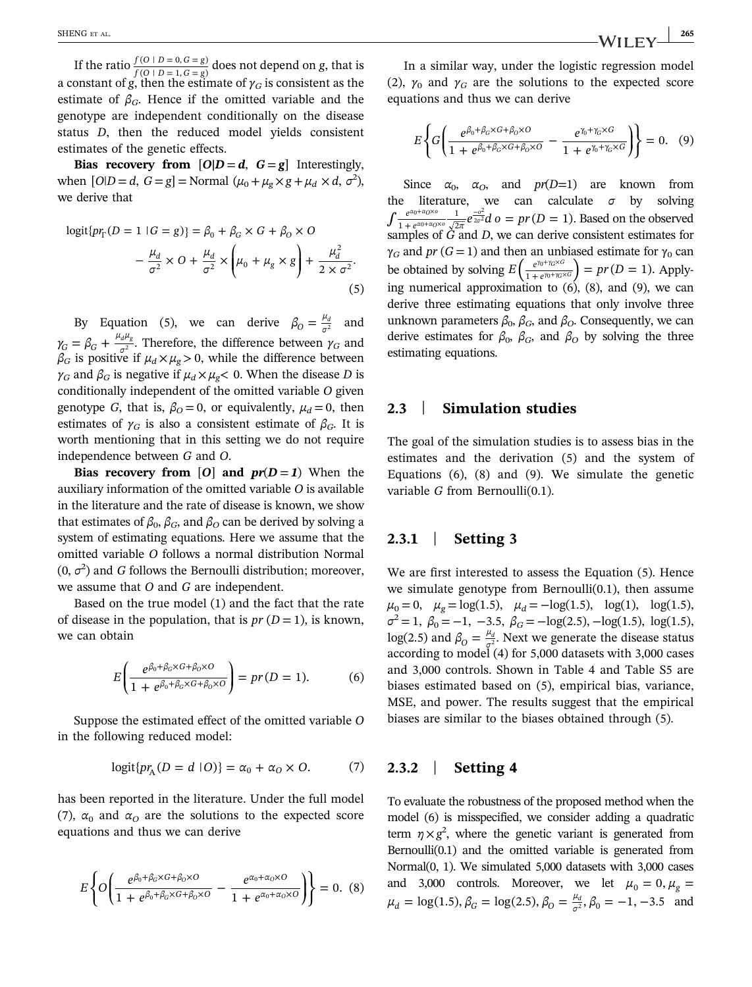If the ratio  $\frac{f(O \mid D = 0, G = g)}{f(O \mid D = 1, G = g)}$  $\frac{(O \mid D = 0, G = g)}{(O \mid D = 1, G = g)}$  does not depend on g, that is a constant of g, then the estimate of  $\gamma_G$  is consistent as the estimate of  $\beta_G$ . Hence if the omitted variable and the genotype are independent conditionally on the disease status D, then the reduced model yields consistent estimates of the genetic effects.

Bias recovery from  $[O|D = d, G = g]$  Interestingly, when  $[O|D = d, G = g] = \text{Normal } (\mu_0 + \mu_g \times g + \mu_d \times d, \sigma^2),$ we derive that

$$
logit{prΓ}(D = 1 | G = g) = \beta_0 + \beta_G \times G + \beta_0 \times O
$$
  

$$
-\frac{\mu_d}{\sigma^2} \times O + \frac{\mu_d}{\sigma^2} \times \left(\mu_0 + \mu_g \times g\right) + \frac{\mu_d^2}{2 \times \sigma^2}.
$$
  
(5)

By Equation (5), we can derive  $\beta_0 = \frac{\mu_d}{\sigma^2}$  and  $\gamma_G = \beta_G + \frac{\mu_d \mu_g}{\sigma^2}$ . Therefore, the difference between  $\frac{d\mu_g}{d^2}$ . Therefore, the difference between  $\gamma_G$  and  $\beta_G$  is positive if  $\mu_d\times\mu_g$  > 0, while the difference between  $\gamma_G$  and  $\beta_G$  is negative if  $\mu_d \times \mu_g < 0$ . When the disease D is conditionally independent of the omitted variable O given genotype G, that is,  $\beta_0 = 0$ , or equivalently,  $\mu_d = 0$ , then estimates of  $\gamma_G$  is also a consistent estimate of  $\beta_G$ . It is worth mentioning that in this setting we do not require independence between G and O.

Bias recovery from [O] and  $pr(D=1)$  When the auxiliary information of the omitted variable O is available in the literature and the rate of disease is known, we show that estimates of  $\beta_0$ ,  $\beta_G$ , and  $\beta_O$  can be derived by solving a system of estimating equations. Here we assume that the omitted variable O follows a normal distribution Normal  $(0, \sigma^2)$  and G follows the Bernoulli distribution; moreover, we assume that O and G are independent.

Based on the true model (1) and the fact that the rate of disease in the population, that is  $pr(D=1)$ , is known, we can obtain

$$
E\left(\frac{e^{\beta_0 + \beta_G \times G + \beta_0 \times O}}{1 + e^{\beta_0 + \beta_G \times G + \beta_0 \times O}}\right) = pr(D = 1).
$$
 (6)

Suppose the estimated effect of the omitted variable O in the following reduced model:

$$
logit{p r_A (D = d | O)} = \alpha_0 + \alpha_0 \times O.
$$
 (7)

has been reported in the literature. Under the full model (7),  $\alpha_0$  and  $\alpha_0$  are the solutions to the expected score equations and thus we can derive

$$
E\left\{O\left(\frac{e^{\beta_0+\beta_G\times G+\beta_O\times O}}{1+e^{\beta_0+\beta_G\times G+\beta_O\times O}}-\frac{e^{\alpha_0+\alpha_O\times O}}{1+e^{\alpha_0+\alpha_O\times O}}\right)\right\}=0.
$$
 (8)

In a similar way, under the logistic regression model (2),  $\gamma_0$  and  $\gamma_G$  are the solutions to the expected score equations and thus we can derive

$$
E\left\{G\left(\frac{e^{\beta_0+\beta_G\times G+\beta_O\times O}}{1+e^{\beta_0+\beta_G\times G+\beta_O\times O}}-\frac{e^{\gamma_0+\gamma_G\times G}}{1+e^{\gamma_0+\gamma_G\times G}}\right)\right\}=0.\quad(9)
$$

Since  $\alpha_0$ ,  $\alpha_0$ , and  $pr(D=1)$  are known from literature, we can calculate  $\sigma$  by solving  $\int \frac{e^{a_0 + a_0 \times o}}{1 + e^{a_0 + a_0 \times o}} \frac{1}{\sqrt{2\pi}} e^{\frac{-o^2}{2\sigma^2}} d \rho = pr(D = 1).$ 1 2 *α αO o α αO o*  $\frac{1}{\sqrt{0+1} \cdot \sqrt{0}} \cdot \frac{1}{\sqrt{0-1}} e^{\frac{-\omega}{2}}$  $_{0}+ \alpha_{O} \times$  $\frac{-a^2}{2\sigma^2}d\,o = pr(D=1).$  Based on the observed samples of G and D, we can derive consistent estimates for  $\gamma_G$  and pr (G = 1) and then an unbiased estimate for  $\gamma_0$  can be obtained by solving  $E\left(\frac{e^{\gamma_0 + \gamma_G \times G}}{1 + e^{\gamma_0 + \gamma_G \times G}}\right) = pr(D = 1).$ *G G G G*  $\left(\frac{\gamma_0+\gamma_G\times G}{e^{\gamma_0+\gamma_G\times G}}\right) = pr(D=1)$ . Applying numerical approximation to  $(6)$ ,  $(8)$ , and  $(9)$ , we can derive three estimating equations that only involve three unknown parameters  $β_0$ ,  $β_0$ , and  $β_0$ . Consequently, we can derive estimates for  $\beta_0$ ,  $\beta_G$ , and  $\beta_O$  by solving the three estimating equations.

#### 2.3 | Simulation studies

The goal of the simulation studies is to assess bias in the estimates and the derivation (5) and the system of Equations (6), (8) and (9). We simulate the genetic variable G from Bernoulli(0.1).

## 2.3.1 | Setting 3

We are first interested to assess the Equation (5). Hence we simulate genotype from Bernoulli(0.1), then assume  $\mu_0 = 0$ ,  $\mu_g = \log(1.5)$ ,  $\mu_d = -\log(1.5)$ ,  $\log(1)$ ,  $\log(1.5)$ ,  $\sigma^2 = 1$ ,  $\beta_0 = -1$ ,  $-3.5$ ,  $\beta_G = -\log(2.5)$ ,  $-\log(1.5)$ ,  $\log(1.5)$ , log(2.5) and  $\beta_0 = \frac{\mu_d}{\sigma^2}$ . Next we generate the disease status  $\frac{1}{2}$  according to model (4) for 5,000 datasets with 3,000 cases and 3,000 controls. Shown in Table 4 and Table S5 are biases estimated based on (5), empirical bias, variance, MSE, and power. The results suggest that the empirical biases are similar to the biases obtained through (5).

## 2.3.2 | Setting 4

To evaluate the robustness of the proposed method when the model (6) is misspecified, we consider adding a quadratic term  $\eta \times g^2$ , where the genetic variant is generated from Bernoulli(0.1) and the omitted variable is generated from Normal(0, 1). We simulated 5,000 datasets with 3,000 cases and 3,000 controls. Moreover, we let  $\mu_0 = 0, \mu_g =$  $\mu_d = \log(1.5), \beta_G = \log(2.5), \beta_O = \frac{\mu_d}{\sigma^2}, \beta_0 = -1, -3.5$  and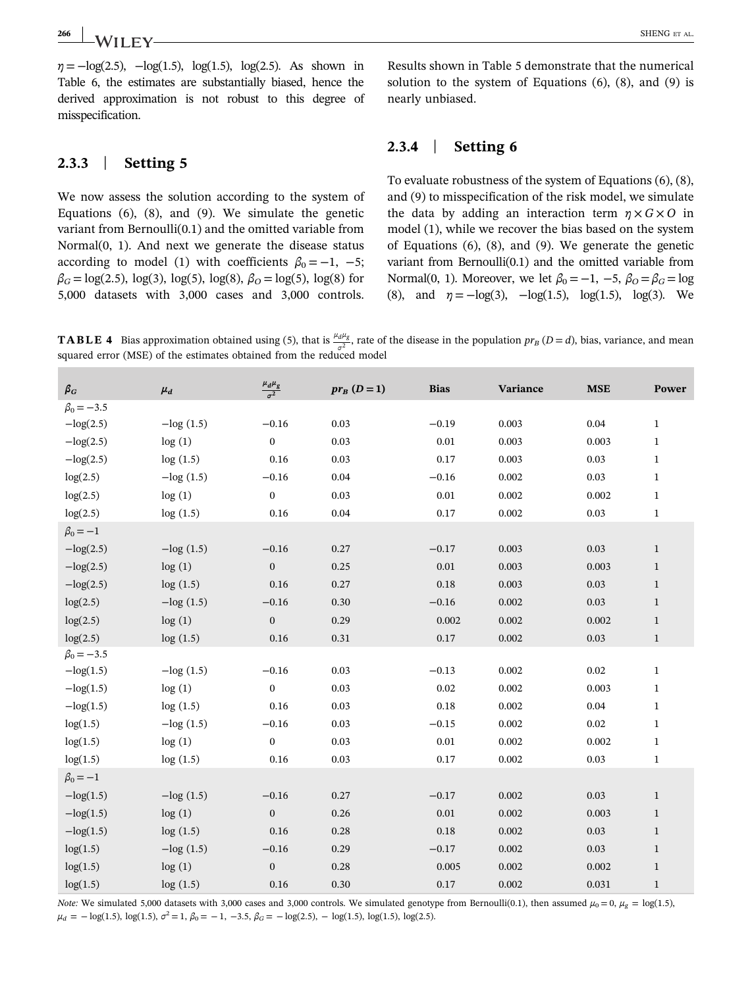2.3.3 | Setting 5

 $\eta = -\log(2.5)$ ,  $-\log(1.5)$ ,  $\log(1.5)$ ,  $\log(2.5)$ . As shown in Table 6, the estimates are substantially biased, hence the derived approximation is not robust to this degree of misspecification.

We now assess the solution according to the system of Equations (6), (8), and (9). We simulate the genetic variant from Bernoulli(0.1) and the omitted variable from Normal(0, 1). And next we generate the disease status according to model (1) with coefficients  $\beta_0 = -1$ , -5;  $\beta_G = \log(2.5)$ ,  $\log(3)$ ,  $\log(5)$ ,  $\log(8)$ ,  $\beta_O = \log(5)$ ,  $\log(8)$  for 5,000 datasets with 3,000 cases and 3,000 controls.

Results shown in Table 5 demonstrate that the numerical solution to the system of Equations  $(6)$ ,  $(8)$ , and  $(9)$  is nearly unbiased.

# 2.3.4 | Setting 6

To evaluate robustness of the system of Equations (6), (8), and (9) to misspecification of the risk model, we simulate the data by adding an interaction term  $\eta \times G \times O$  in model (1), while we recover the bias based on the system of Equations (6), (8), and (9). We generate the genetic variant from Bernoulli(0.1) and the omitted variable from Normal(0, 1). Moreover, we let  $\beta_0 = -1$ ,  $-5$ ,  $\beta_0 = \beta_G = \log$ (8), and  $\eta = -\log(3)$ ,  $-\log(1.5)$ ,  $\log(1.5)$ ,  $\log(3)$ . We

**TABLE 4** Bias approximation obtained using (5), that is  $\frac{\mu_d \mu_g}{\sigma^2}$ , rate of the disease in the population  $pr_B (D = d)$ , bias, variance, and mean squared error (MSE) of the estimates obtained from the reduced model

| $\beta_G$        | $\mu_d$      | $\frac{\mu_d \mu_g}{\sigma^2}$ | $pr_B(D=1)$ | <b>Bias</b> | Variance | <b>MSE</b> | Power        |
|------------------|--------------|--------------------------------|-------------|-------------|----------|------------|--------------|
| $\beta_0 = -3.5$ |              |                                |             |             |          |            |              |
| $-\log(2.5)$     | $-\log(1.5)$ | $-0.16$                        | 0.03        | $-0.19$     | 0.003    | 0.04       | $\mathbf{1}$ |
| $-\log(2.5)$     | log(1)       | $\boldsymbol{0}$               | 0.03        | $\rm 0.01$  | 0.003    | 0.003      | $\mathbf{1}$ |
| $-\log(2.5)$     | log(1.5)     | 0.16                           | 0.03        | 0.17        | 0.003    | 0.03       | $\mathbf{1}$ |
| log(2.5)         | $-\log(1.5)$ | $-0.16$                        | 0.04        | $-0.16$     | 0.002    | 0.03       | $\mathbf{1}$ |
| log(2.5)         | log(1)       | $\boldsymbol{0}$               | 0.03        | 0.01        | 0.002    | 0.002      | $\mathbf{1}$ |
| log(2.5)         | log(1.5)     | $0.16\,$                       | 0.04        | 0.17        | 0.002    | 0.03       | $\mathbf{1}$ |
| $\beta_0 = -1$   |              |                                |             |             |          |            |              |
| $-\log(2.5)$     | $-\log(1.5)$ | $-0.16$                        | 0.27        | $-0.17$     | 0.003    | 0.03       | $\mathbf{1}$ |
| $-\log(2.5)$     | log(1)       | $\mathbf{0}$                   | 0.25        | 0.01        | 0.003    | 0.003      | $\mathbf{1}$ |
| $-\log(2.5)$     | log(1.5)     | 0.16                           | 0.27        | 0.18        | 0.003    | 0.03       | $\mathbf{1}$ |
| log(2.5)         | $-\log(1.5)$ | $-0.16$                        | 0.30        | $-0.16$     | 0.002    | 0.03       | $\mathbf{1}$ |
| log(2.5)         | log(1)       | $\boldsymbol{0}$               | 0.29        | 0.002       | 0.002    | 0.002      | $\mathbf{1}$ |
| log(2.5)         | log(1.5)     | $0.16\,$                       | 0.31        | 0.17        | 0.002    | 0.03       | $1\,$        |
| $\beta_0 = -3.5$ |              |                                |             |             |          |            |              |
| $-\log(1.5)$     | $-log(1.5)$  | $-0.16$                        | 0.03        | $-0.13$     | 0.002    | 0.02       | $\mathbf{1}$ |
| $-\log(1.5)$     | log(1)       | $\boldsymbol{0}$               | 0.03        | 0.02        | 0.002    | 0.003      | $\mathbf{1}$ |
| $-\log(1.5)$     | log(1.5)     | 0.16                           | 0.03        | 0.18        | 0.002    | 0.04       | $\mathbf{1}$ |
| log(1.5)         | $-log(1.5)$  | $-0.16$                        | 0.03        | $-0.15$     | 0.002    | 0.02       | $\mathbf{1}$ |
| log(1.5)         | log(1)       | $\boldsymbol{0}$               | 0.03        | 0.01        | 0.002    | 0.002      | $\mathbf{1}$ |
| log(1.5)         | log(1.5)     | $0.16\,$                       | 0.03        | 0.17        | 0.002    | 0.03       | $\mathbf{1}$ |
| $\beta_0 = -1$   |              |                                |             |             |          |            |              |
| $-\log(1.5)$     | $-\log(1.5)$ | $-0.16$                        | 0.27        | $-0.17$     | 0.002    | 0.03       | $\mathbf{1}$ |
| $-\log(1.5)$     | log(1)       | $\mathbf{0}$                   | 0.26        | $0.01\,$    | 0.002    | 0.003      | $\,1$        |
| $-\log(1.5)$     | log(1.5)     | 0.16                           | 0.28        | 0.18        | 0.002    | 0.03       | $\mathbf{1}$ |
| log(1.5)         | $-\log(1.5)$ | $-0.16$                        | 0.29        | $-0.17$     | 0.002    | 0.03       | $\mathbf{1}$ |
| log(1.5)         | log(1)       | $\boldsymbol{0}$               | 0.28        | 0.005       | 0.002    | 0.002      | $\mathbf{1}$ |
| log(1.5)         | log(1.5)     | 0.16                           | 0.30        | $0.17\,$    | 0.002    | 0.031      | $\mathbf{1}$ |

Note: We simulated 5,000 datasets with 3,000 cases and 3,000 controls. We simulated genotype from Bernoulli(0.1), then assumed  $\mu_0 = 0$ ,  $\mu_g = \log(1.5)$ ,  $\mu_d = -\log(1.5)$ ,  $\log(1.5)$ ,  $\sigma^2 = 1$ ,  $\beta_0 = -1$ ,  $-3.5$ ,  $\beta_G = -\log(2.5)$ ,  $-\log(1.5)$ ,  $\log(1.5)$ ,  $\log(2.5)$ .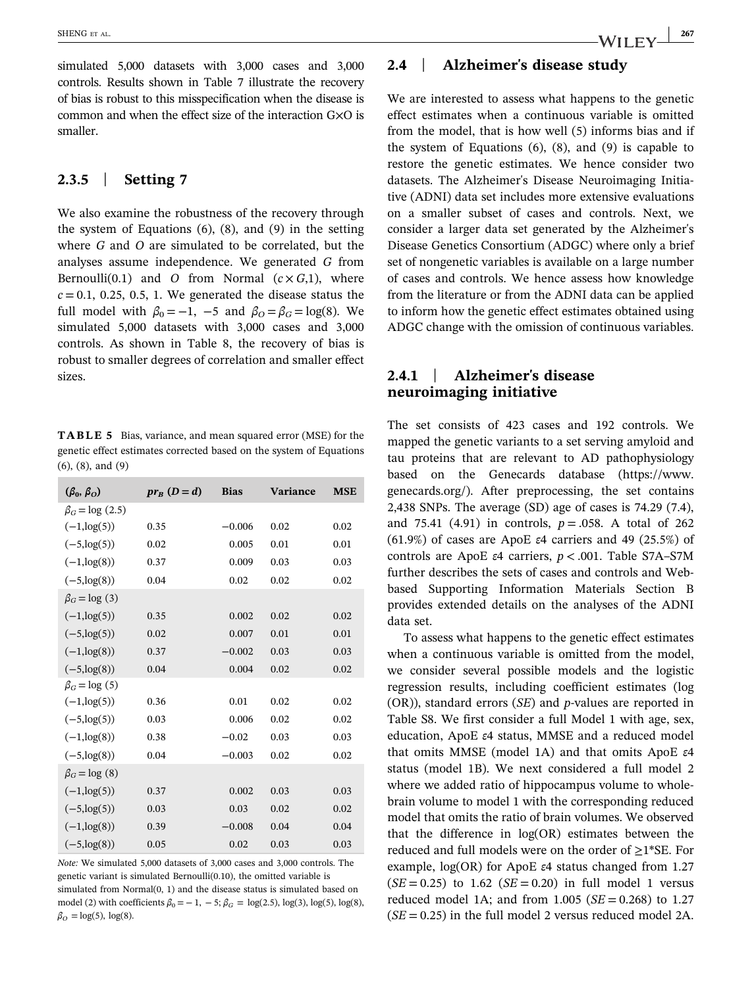simulated 5,000 datasets with 3,000 cases and 3,000 controls. Results shown in Table 7 illustrate the recovery of bias is robust to this misspecification when the disease is common and when the effect size of the interaction G×O is smaller.

# 2.3.5 | Setting 7

We also examine the robustness of the recovery through the system of Equations (6), (8), and (9) in the setting where G and O are simulated to be correlated, but the analyses assume independence. We generated G from Bernoulli(0.1) and O from Normal  $(c \times G, 1)$ , where  $c = 0.1, 0.25, 0.5, 1$ . We generated the disease status the full model with  $\beta_0 = -1$ ,  $-5$  and  $\beta_0 = \beta_0 = \log(8)$ . We simulated 5,000 datasets with 3,000 cases and 3,000 controls. As shown in Table 8, the recovery of bias is robust to smaller degrees of correlation and smaller effect sizes.

TABLE 5 Bias, variance, and mean squared error (MSE) for the genetic effect estimates corrected based on the system of Equations (6), (8), and (9)

| $(\beta_0, \beta_0)$  | $pr_B(D=d)$ | <b>Bias</b> | <b>Variance</b> | <b>MSE</b> |
|-----------------------|-------------|-------------|-----------------|------------|
| $\beta_G = \log(2.5)$ |             |             |                 |            |
| $(-1, \log(5))$       | 0.35        | $-0.006$    | 0.02            | 0.02       |
| $(-5, \log(5))$       | 0.02        | 0.005       | 0.01            | 0.01       |
| $(-1, \log(8))$       | 0.37        | 0.009       | 0.03            | 0.03       |
| $(-5, \log(8))$       | 0.04        | 0.02        | 0.02            | 0.02       |
| $\beta_G = \log(3)$   |             |             |                 |            |
| $(-1, \log(5))$       | 0.35        | 0.002       | 0.02            | 0.02       |
| $(-5, \log(5))$       | 0.02        | 0.007       | 0.01            | 0.01       |
| $(-1, \log(8))$       | 0.37        | $-0.002$    | 0.03            | 0.03       |
| $(-5, \log(8))$       | 0.04        | 0.004       | 0.02            | 0.02       |
| $\beta_G = \log(5)$   |             |             |                 |            |
| $(-1, \log(5))$       | 0.36        | 0.01        | 0.02            | 0.02       |
| $(-5, \log(5))$       | 0.03        | 0.006       | 0.02            | 0.02       |
| $(-1, \log(8))$       | 0.38        | $-0.02$     | 0.03            | 0.03       |
| $(-5, \log(8))$       | 0.04        | $-0.003$    | 0.02            | 0.02       |
| $\beta_G = \log(8)$   |             |             |                 |            |
| $(-1, \log(5))$       | 0.37        | 0.002       | 0.03            | 0.03       |
| $(-5, \log(5))$       | 0.03        | 0.03        | 0.02            | 0.02       |
| $(-1, \log(8))$       | 0.39        | $-0.008$    | 0.04            | 0.04       |
| $(-5, \log(8))$       | 0.05        | 0.02        | 0.03            | 0.03       |

Note: We simulated 5,000 datasets of 3,000 cases and 3,000 controls. The genetic variant is simulated Bernoulli(0.10), the omitted variable is simulated from Normal(0, 1) and the disease status is simulated based on model (2) with coefficients  $\beta_0 = -1, -5; \beta_0 = \log(2.5), \log(3), \log(5), \log(8)$ ,  $\beta_O = \log(5)$ ,  $\log(8)$ .

## 2.4 | Alzheimer's disease study

We are interested to assess what happens to the genetic effect estimates when a continuous variable is omitted from the model, that is how well (5) informs bias and if the system of Equations (6), (8), and (9) is capable to restore the genetic estimates. We hence consider two datasets. The Alzheimer's Disease Neuroimaging Initiative (ADNI) data set includes more extensive evaluations on a smaller subset of cases and controls. Next, we consider a larger data set generated by the Alzheimer's Disease Genetics Consortium (ADGC) where only a brief set of nongenetic variables is available on a large number of cases and controls. We hence assess how knowledge from the literature or from the ADNI data can be applied to inform how the genetic effect estimates obtained using ADGC change with the omission of continuous variables.

# 2.4.1 | Alzheimer's disease neuroimaging initiative

The set consists of 423 cases and 192 controls. We mapped the genetic variants to a set serving amyloid and tau proteins that are relevant to AD pathophysiology based on the Genecards database [\(https://www.](https://www.genecards.org/) [genecards.org/](https://www.genecards.org/)). After preprocessing, the set contains 2,438 SNPs. The average (SD) age of cases is 74.29 (7.4), and 75.41 (4.91) in controls,  $p = .058$ . A total of 262 (61.9%) of cases are ApoE  $\varepsilon$ 4 carriers and 49 (25.5%) of controls are ApoE  $\varepsilon$ 4 carriers,  $p < .001$ . Table S7A–S7M further describes the sets of cases and controls and Webbased Supporting Information Materials Section B provides extended details on the analyses of the ADNI data set.

To assess what happens to the genetic effect estimates when a continuous variable is omitted from the model, we consider several possible models and the logistic regression results, including coefficient estimates (log  $(OR)$ ), standard errors  $(SE)$  and p-values are reported in Table S8. We first consider a full Model 1 with age, sex, education, ApoE ε4 status, MMSE and a reduced model that omits MMSE (model 1A) and that omits ApoE ε4 status (model 1B). We next considered a full model 2 where we added ratio of hippocampus volume to wholebrain volume to model 1 with the corresponding reduced model that omits the ratio of brain volumes. We observed that the difference in log(OR) estimates between the reduced and full models were on the order of  $\geq$ 1\*SE. For example, log(OR) for ApoE ε4 status changed from 1.27  $(SE = 0.25)$  to 1.62  $(SE = 0.20)$  in full model 1 versus reduced model 1A; and from 1.005 ( $SE = 0.268$ ) to 1.27  $(SE = 0.25)$  in the full model 2 versus reduced model 2A.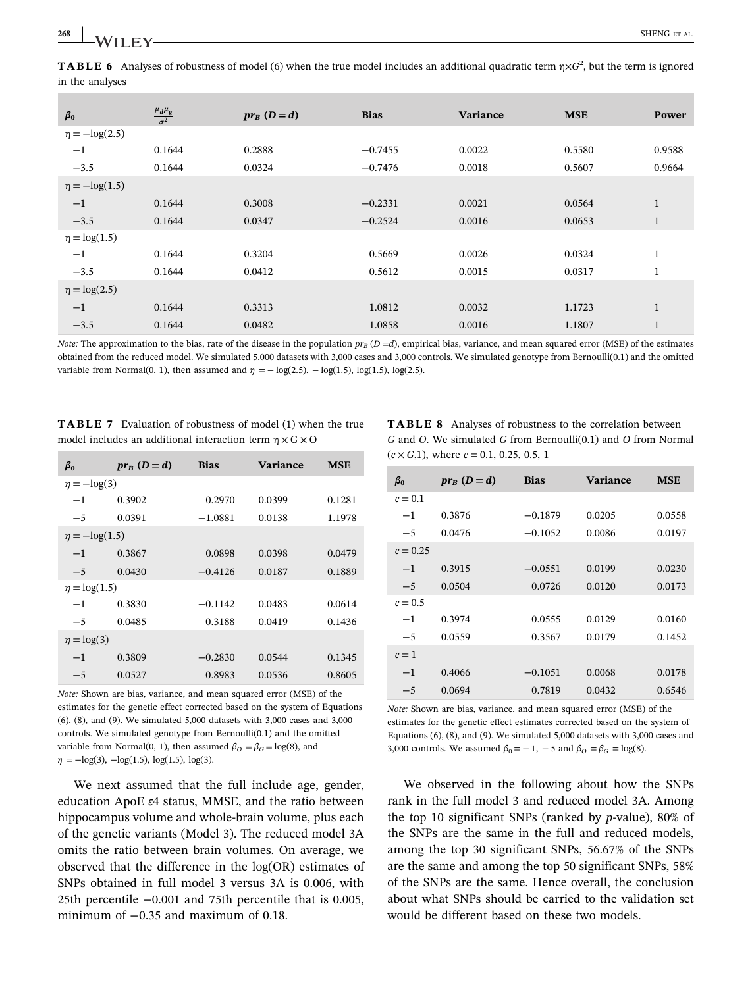**TABLE 6** Analyses of robustness of model (6) when the true model includes an additional quadratic term  $\eta \times G^2$ , but the term is ignored in the analyses

| $\beta_0$           | $\frac{\mu_d \mu_g}{\sigma^2}$ | $pr_{R}$ $(D=d)$ | <b>Bias</b> | <b>Variance</b> | <b>MSE</b> | Power        |
|---------------------|--------------------------------|------------------|-------------|-----------------|------------|--------------|
| $\eta = -\log(2.5)$ |                                |                  |             |                 |            |              |
| $^{-1}$             | 0.1644                         | 0.2888           | $-0.7455$   | 0.0022          | 0.5580     | 0.9588       |
| $-3.5$              | 0.1644                         | 0.0324           | $-0.7476$   | 0.0018          | 0.5607     | 0.9664       |
| $\eta = -\log(1.5)$ |                                |                  |             |                 |            |              |
| $-1$                | 0.1644                         | 0.3008           | $-0.2331$   | 0.0021          | 0.0564     | $\mathbf{1}$ |
| $-3.5$              | 0.1644                         | 0.0347           | $-0.2524$   | 0.0016          | 0.0653     | $\mathbf{1}$ |
| $\eta = \log(1.5)$  |                                |                  |             |                 |            |              |
| $^{-1}$             | 0.1644                         | 0.3204           | 0.5669      | 0.0026          | 0.0324     | $\mathbf{1}$ |
| $-3.5$              | 0.1644                         | 0.0412           | 0.5612      | 0.0015          | 0.0317     | $\mathbf{1}$ |
| $\eta = \log(2.5)$  |                                |                  |             |                 |            |              |
| $-1$                | 0.1644                         | 0.3313           | 1.0812      | 0.0032          | 1.1723     | $\mathbf{1}$ |
| $-3.5$              | 0.1644                         | 0.0482           | 1.0858      | 0.0016          | 1.1807     | $\mathbf{1}$ |
|                     |                                |                  |             |                 |            |              |

Note: The approximation to the bias, rate of the disease in the population  $pr_B (D=d)$ , empirical bias, variance, and mean squared error (MSE) of the estimates obtained from the reduced model. We simulated 5,000 datasets with 3,000 cases and 3,000 controls. We simulated genotype from Bernoulli(0.1) and the omitted variable from Normal(0, 1), then assumed and  $\eta = -\log(2.5)$ ,  $-\log(1.5)$ ,  $\log(1.5)$ ,  $\log(2.5)$ .

TABLE 7 Evaluation of robustness of model (1) when the true model includes an additional interaction term  $\eta \times G \times O$ 

| $\beta_0$           | $pr_{R}$ $(D=d)$ | <b>Bias</b> | <b>Variance</b> | <b>MSE</b> |
|---------------------|------------------|-------------|-----------------|------------|
| $\eta = -\log(3)$   |                  |             |                 |            |
| $-1$                | 0.3902           | 0.2970      | 0.0399          | 0.1281     |
| $-5$                | 0.0391           | $-1.0881$   | 0.0138          | 1.1978     |
| $\eta = -\log(1.5)$ |                  |             |                 |            |
| $-1$                | 0.3867           | 0.0898      | 0.0398          | 0.0479     |
| $-5$                | 0.0430           | $-0.4126$   | 0.0187          | 0.1889     |
| $\eta = \log(1.5)$  |                  |             |                 |            |
| $-1$                | 0.3830           | $-0.1142$   | 0.0483          | 0.0614     |
| $-5$                | 0.0485           | 0.3188      | 0.0419          | 0.1436     |
| $\eta = \log(3)$    |                  |             |                 |            |
| $-1$                | 0.3809           | $-0.2830$   | 0.0544          | 0.1345     |
| $-5$                | 0.0527           | 0.8983      | 0.0536          | 0.8605     |

Note: Shown are bias, variance, and mean squared error (MSE) of the estimates for the genetic effect corrected based on the system of Equations (6), (8), and (9). We simulated 5,000 datasets with 3,000 cases and 3,000 controls. We simulated genotype from Bernoulli(0.1) and the omitted variable from Normal(0, 1), then assumed  $\beta_{\text{O}} = \beta_{\text{G}} = \log(8)$ , and  $\eta = -\log(3)$ ,  $-\log(1.5)$ ,  $\log(1.5)$ ,  $\log(3)$ .

We next assumed that the full include age, gender, education ApoE ε4 status, MMSE, and the ratio between hippocampus volume and whole‐brain volume, plus each of the genetic variants (Model 3). The reduced model 3A omits the ratio between brain volumes. On average, we observed that the difference in the log(OR) estimates of SNPs obtained in full model 3 versus 3A is 0.006, with 25th percentile −0.001 and 75th percentile that is 0.005, minimum of −0.35 and maximum of 0.18.

TABLE 8 Analyses of robustness to the correlation between G and O. We simulated G from Bernoulli(0.1) and O from Normal  $(c \times G, 1)$ , where  $c = 0.1, 0.25, 0.5, 1$ 

| $\beta_0$  | $pr_B(D=d)$ | <b>Bias</b> | <b>Variance</b> | MSE    |
|------------|-------------|-------------|-----------------|--------|
| $c = 0.1$  |             |             |                 |        |
| $-1$       | 0.3876      | $-0.1879$   | 0.0205          | 0.0558 |
| $-5$       | 0.0476      | $-0.1052$   | 0.0086          | 0.0197 |
| $c = 0.25$ |             |             |                 |        |
| $-1$       | 0.3915      | $-0.0551$   | 0.0199          | 0.0230 |
| $-5$       | 0.0504      | 0.0726      | 0.0120          | 0.0173 |
| $c = 0.5$  |             |             |                 |        |
| $-1$       | 0.3974      | 0.0555      | 0.0129          | 0.0160 |
| $-5$       | 0.0559      | 0.3567      | 0.0179          | 0.1452 |
| $c=1$      |             |             |                 |        |
| $-1$       | 0.4066      | $-0.1051$   | 0.0068          | 0.0178 |
| $-5$       | 0.0694      | 0.7819      | 0.0432          | 0.6546 |
|            |             |             |                 |        |

Note: Shown are bias, variance, and mean squared error (MSE) of the estimates for the genetic effect estimates corrected based on the system of Equations (6), (8), and (9). We simulated 5,000 datasets with 3,000 cases and 3,000 controls. We assumed  $\beta_0 = -1$ ,  $-5$  and  $\beta_0 = \beta_G = \log(8)$ .

We observed in the following about how the SNPs rank in the full model 3 and reduced model 3A. Among the top 10 significant SNPs (ranked by  $p$ -value), 80% of the SNPs are the same in the full and reduced models, among the top 30 significant SNPs, 56.67% of the SNPs are the same and among the top 50 significant SNPs, 58% of the SNPs are the same. Hence overall, the conclusion about what SNPs should be carried to the validation set would be different based on these two models.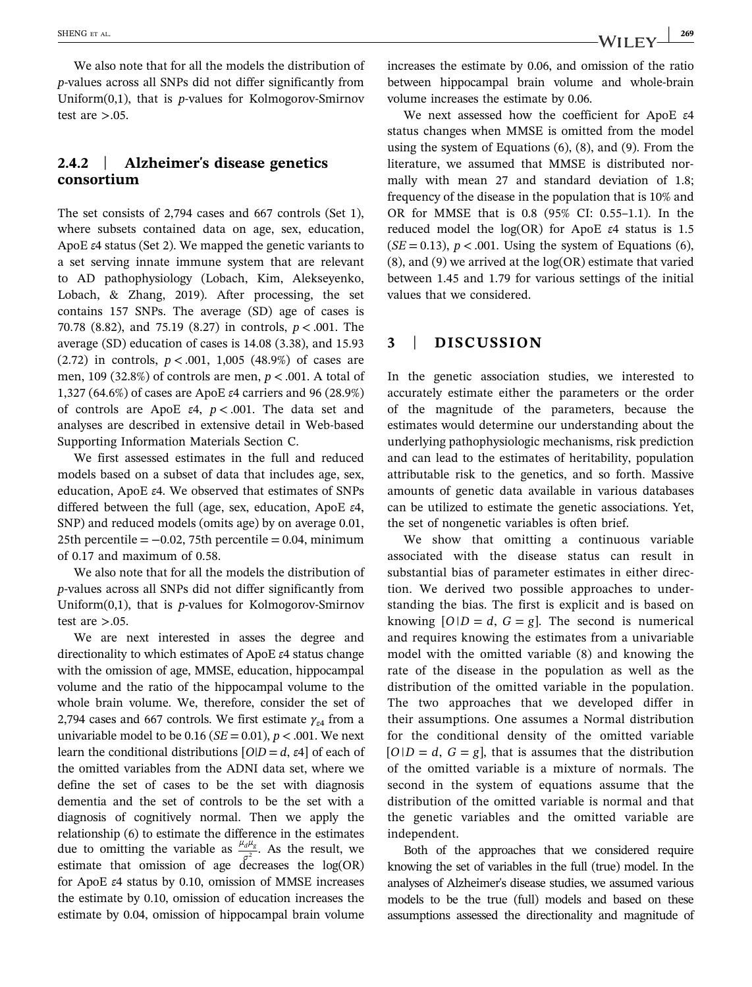We also note that for all the models the distribution of p‐values across all SNPs did not differ significantly from Uniform $(0,1)$ , that is *p*-values for Kolmogorov-Smirnov test are  $> 0.05$ .

# 2.4.2 | Alzheimer's disease genetics consortium

The set consists of 2,794 cases and 667 controls (Set 1), where subsets contained data on age, sex, education, ApoE ε4 status (Set 2). We mapped the genetic variants to a set serving innate immune system that are relevant to AD pathophysiology (Lobach, Kim, Alekseyenko, Lobach, & Zhang, 2019). After processing, the set contains 157 SNPs. The average (SD) age of cases is 70.78 (8.82), and 75.19 (8.27) in controls,  $p < .001$ . The average (SD) education of cases is 14.08 (3.38), and 15.93 (2.72) in controls,  $p < .001$ , 1,005 (48.9%) of cases are men, 109 (32.8%) of controls are men,  $p < .001$ . A total of 1,327 (64.6%) of cases are ApoE ε4 carriers and 96 (28.9%) of controls are ApoE  $\varepsilon$ 4,  $p < .001$ . The data set and analyses are described in extensive detail in Web‐based Supporting Information Materials Section C.

We first assessed estimates in the full and reduced models based on a subset of data that includes age, sex, education, ApoE ε4. We observed that estimates of SNPs differed between the full (age, sex, education, ApoE ε4, SNP) and reduced models (omits age) by on average 0.01, 25th percentile  $= -0.02$ , 75th percentile  $= 0.04$ , minimum of 0.17 and maximum of 0.58.

We also note that for all the models the distribution of p‐values across all SNPs did not differ significantly from Uniform $(0,1)$ , that is *p*-values for Kolmogorov-Smirnov test are  $> 0.05$ .

We are next interested in asses the degree and directionality to which estimates of ApoE ε4 status change with the omission of age, MMSE, education, hippocampal volume and the ratio of the hippocampal volume to the whole brain volume. We, therefore, consider the set of 2,794 cases and 667 controls. We first estimate  $\gamma_{\epsilon 4}$  from a univariable model to be 0.16 ( $SE = 0.01$ ),  $p < .001$ . We next learn the conditional distributions  $[O|D = d, \varepsilon 4]$  of each of the omitted variables from the ADNI data set, where we define the set of cases to be the set with diagnosis dementia and the set of controls to be the set with a diagnosis of cognitively normal. Then we apply the relationship (6) to estimate the difference in the estimates due to omitting the variable as  $\frac{\mu_d \mu}{\sigma^2}$  $\frac{d^{u}g}{dt^{2}}$ . As the result, we estimate that omission of age decreases the log(OR) for ApoE ε4 status by 0.10, omission of MMSE increases the estimate by 0.10, omission of education increases the estimate by 0.04, omission of hippocampal brain volume

increases the estimate by 0.06, and omission of the ratio between hippocampal brain volume and whole‐brain volume increases the estimate by 0.06.

We next assessed how the coefficient for ApoE ε4 status changes when MMSE is omitted from the model using the system of Equations (6), (8), and (9). From the literature, we assumed that MMSE is distributed normally with mean 27 and standard deviation of 1.8; frequency of the disease in the population that is 10% and OR for MMSE that is 0.8 (95% CI: 0.55–1.1). In the reduced model the log(OR) for ApoE ε4 status is 1.5  $(SE = 0.13)$ ,  $p < .001$ . Using the system of Equations (6), (8), and (9) we arrived at the log(OR) estimate that varied between 1.45 and 1.79 for various settings of the initial values that we considered.

# 3 | DISCUSSION

In the genetic association studies, we interested to accurately estimate either the parameters or the order of the magnitude of the parameters, because the estimates would determine our understanding about the underlying pathophysiologic mechanisms, risk prediction and can lead to the estimates of heritability, population attributable risk to the genetics, and so forth. Massive amounts of genetic data available in various databases can be utilized to estimate the genetic associations. Yet, the set of nongenetic variables is often brief.

We show that omitting a continuous variable associated with the disease status can result in substantial bias of parameter estimates in either direction. We derived two possible approaches to understanding the bias. The first is explicit and is based on knowing  $[O|D = d, G = g]$ . The second is numerical and requires knowing the estimates from a univariable model with the omitted variable (8) and knowing the rate of the disease in the population as well as the distribution of the omitted variable in the population. The two approaches that we developed differ in their assumptions. One assumes a Normal distribution for the conditional density of the omitted variable  $[O|D = d, G = g]$ , that is assumes that the distribution of the omitted variable is a mixture of normals. The second in the system of equations assume that the distribution of the omitted variable is normal and that the genetic variables and the omitted variable are independent.

Both of the approaches that we considered require knowing the set of variables in the full (true) model. In the analyses of Alzheimer's disease studies, we assumed various models to be the true (full) models and based on these assumptions assessed the directionality and magnitude of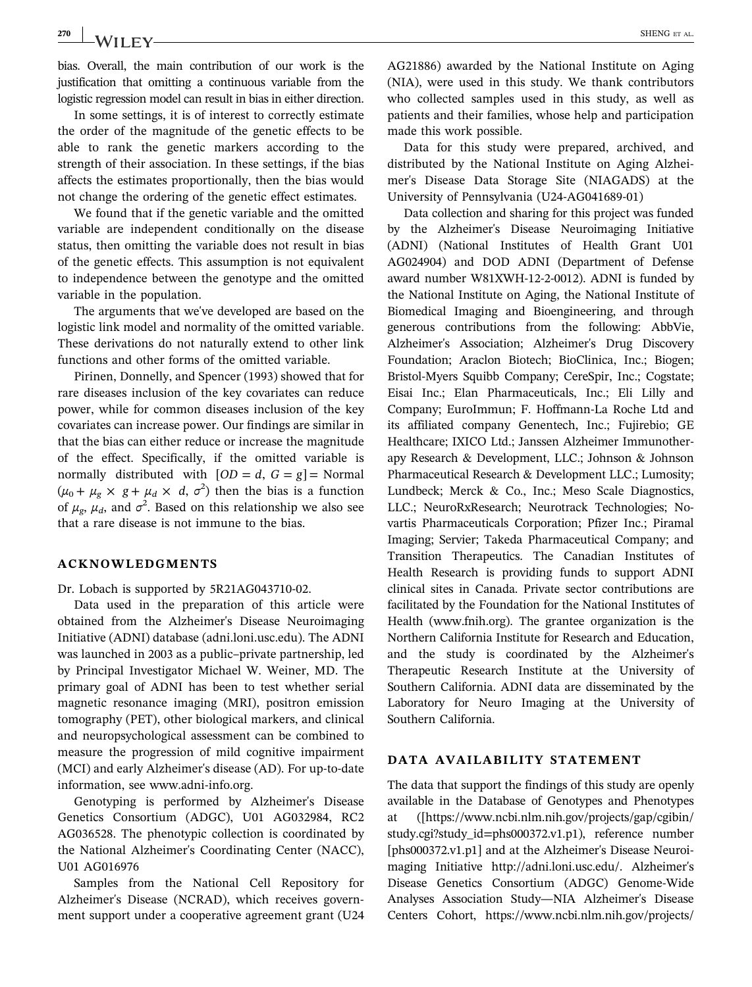270 | **SHENG ET AL.** 

bias. Overall, the main contribution of our work is the justification that omitting a continuous variable from the logistic regression model can result in bias in either direction.

In some settings, it is of interest to correctly estimate the order of the magnitude of the genetic effects to be able to rank the genetic markers according to the strength of their association. In these settings, if the bias affects the estimates proportionally, then the bias would not change the ordering of the genetic effect estimates.

We found that if the genetic variable and the omitted variable are independent conditionally on the disease status, then omitting the variable does not result in bias of the genetic effects. This assumption is not equivalent to independence between the genotype and the omitted variable in the population.

The arguments that we've developed are based on the logistic link model and normality of the omitted variable. These derivations do not naturally extend to other link functions and other forms of the omitted variable.

Pirinen, Donnelly, and Spencer (1993) showed that for rare diseases inclusion of the key covariates can reduce power, while for common diseases inclusion of the key covariates can increase power. Our findings are similar in that the bias can either reduce or increase the magnitude of the effect. Specifically, if the omitted variable is normally distributed with  $[OD = d, G = g] =$  Normal  $(\mu_0 + \mu_g \times g + \mu_d \times d, \sigma^2)$  then the bias is a function of  $\mu_g$ ,  $\mu_d$ , and  $\sigma^2$ . Based on this relationship we also see that a rare disease is not immune to the bias.

## ACKNOWLEDGMENTS

Dr. Lobach is supported by 5R21AG043710‐02.

Data used in the preparation of this article were obtained from the Alzheimer's Disease Neuroimaging Initiative (ADNI) database (adni.loni.usc.edu). The ADNI was launched in 2003 as a public–private partnership, led by Principal Investigator Michael W. Weiner, MD. The primary goal of ADNI has been to test whether serial magnetic resonance imaging (MRI), positron emission tomography (PET), other biological markers, and clinical and neuropsychological assessment can be combined to measure the progression of mild cognitive impairment (MCI) and early Alzheimer's disease (AD). For up‐to‐date information, see [www.adni](http://www.adni-info.org)‐info.org.

Genotyping is performed by Alzheimer's Disease Genetics Consortium (ADGC), U01 AG032984, RC2 AG036528. The phenotypic collection is coordinated by the National Alzheimer's Coordinating Center (NACC), U01 AG016976

Samples from the National Cell Repository for Alzheimer's Disease (NCRAD), which receives government support under a cooperative agreement grant (U24 AG21886) awarded by the National Institute on Aging (NIA), were used in this study. We thank contributors who collected samples used in this study, as well as patients and their families, whose help and participation made this work possible.

Data for this study were prepared, archived, and distributed by the National Institute on Aging Alzheimer's Disease Data Storage Site (NIAGADS) at the University of Pennsylvania (U24‐AG041689‐01)

Data collection and sharing for this project was funded by the Alzheimer's Disease Neuroimaging Initiative (ADNI) (National Institutes of Health Grant U01 AG024904) and DOD ADNI (Department of Defense award number W81XWH‐12‐2‐0012). ADNI is funded by the National Institute on Aging, the National Institute of Biomedical Imaging and Bioengineering, and through generous contributions from the following: AbbVie, Alzheimer's Association; Alzheimer's Drug Discovery Foundation; Araclon Biotech; BioClinica, Inc.; Biogen; Bristol‐Myers Squibb Company; CereSpir, Inc.; Cogstate; Eisai Inc.; Elan Pharmaceuticals, Inc.; Eli Lilly and Company; EuroImmun; F. Hoffmann‐La Roche Ltd and its affiliated company Genentech, Inc.; Fujirebio; GE Healthcare; IXICO Ltd.; Janssen Alzheimer Immunotherapy Research & Development, LLC.; Johnson & Johnson Pharmaceutical Research & Development LLC.; Lumosity; Lundbeck; Merck & Co., Inc.; Meso Scale Diagnostics, LLC.; NeuroRxResearch; Neurotrack Technologies; Novartis Pharmaceuticals Corporation; Pfizer Inc.; Piramal Imaging; Servier; Takeda Pharmaceutical Company; and Transition Therapeutics. The Canadian Institutes of Health Research is providing funds to support ADNI clinical sites in Canada. Private sector contributions are facilitated by the Foundation for the National Institutes of Health [\(www.fnih.org\)](http://www.fnih.org). The grantee organization is the Northern California Institute for Research and Education, and the study is coordinated by the Alzheimer's Therapeutic Research Institute at the University of Southern California. ADNI data are disseminated by the Laboratory for Neuro Imaging at the University of Southern California.

### DATA AVAILABILITY STATEMENT

The data that support the findings of this study are openly available in the Database of Genotypes and Phenotypes at ([\[https://www.ncbi.nlm.nih.gov/projects/gap/cgibin/](https://www.ncbi.nlm.nih.gov/projects/gap/cgibin/study.cgi?study_id=phs000372.v1.p1) [study.cgi?study\\_id=phs000372.v1.p1](https://www.ncbi.nlm.nih.gov/projects/gap/cgibin/study.cgi?study_id=phs000372.v1.p1)), reference number [phs000372.v1.p1] and at the Alzheimer's Disease Neuroimaging Initiative [http://adni.loni.usc.edu/.](http://adni.loni.usc.edu/) Alzheimer's Disease Genetics Consortium (ADGC) Genome‐Wide Analyses Association Study—NIA Alzheimer's Disease Centers Cohort, [https://www.ncbi.nlm.nih.gov/projects/](https://www.ncbi.nlm.nih.gov/projects/gap/cgi-bin/study.cgi?study_id=phs000372.v1.p1)